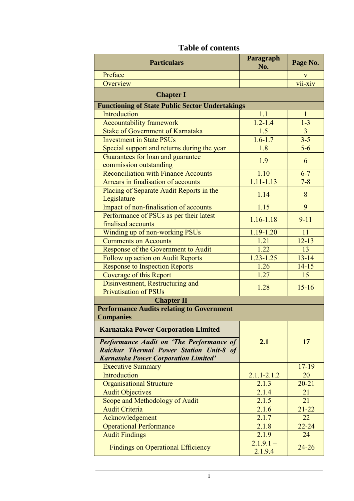| <b>Particulars</b>                                                                                                                        | Paragraph<br>No.       | Page No.            |
|-------------------------------------------------------------------------------------------------------------------------------------------|------------------------|---------------------|
| Preface                                                                                                                                   |                        |                     |
| Overview                                                                                                                                  |                        | $\frac{v}{vii-xiv}$ |
| <b>Chapter I</b>                                                                                                                          |                        |                     |
| <b>Functioning of State Public Sector Undertakings</b>                                                                                    |                        |                     |
| Introduction                                                                                                                              | 1.1                    | $\mathbf{1}$        |
| <b>Accountability framework</b>                                                                                                           | $1.2 - 1.4$            | $1 - 3$             |
| <b>Stake of Government of Karnataka</b>                                                                                                   | 1.5                    | $\overline{3}$      |
| <b>Investment in State PSUs</b>                                                                                                           | $1.6 - 1.7$            | $3 - 5$             |
| Special support and returns during the year                                                                                               | 1.8                    | $5-6$               |
| Guarantees for loan and guarantee                                                                                                         | 1.9                    | 6                   |
| commission outstanding                                                                                                                    |                        |                     |
| <b>Reconciliation with Finance Accounts</b>                                                                                               | 1.10                   | $6 - 7$             |
| Arrears in finalisation of accounts                                                                                                       | $1.11 - 1.13$          | $7 - 8$             |
| Placing of Separate Audit Reports in the<br>Legislature                                                                                   | 1.14                   | 8                   |
| Impact of non-finalisation of accounts                                                                                                    | 1.15                   | 9                   |
| Performance of PSUs as per their latest<br>finalised accounts                                                                             | $1.16 - 1.18$          | $9 - 11$            |
| Winding up of non-working PSUs                                                                                                            | $1.19 - 1.20$          | 11                  |
| <b>Comments on Accounts</b>                                                                                                               | 1.21                   | $12 - 13$           |
| Response of the Government to Audit                                                                                                       | 1.22                   | 13                  |
| Follow up action on Audit Reports                                                                                                         | $1.23 - 1.25$          | $13 - 14$           |
| <b>Response to Inspection Reports</b>                                                                                                     | 1.26                   | $14 - 15$           |
| <b>Coverage of this Report</b>                                                                                                            | 1.27                   | 15                  |
| Disinvestment, Restructuring and                                                                                                          |                        |                     |
| <b>Privatisation of PSUs</b>                                                                                                              | 1.28                   | $15 - 16$           |
| <b>Chapter II</b>                                                                                                                         |                        |                     |
| <b>Performance Audits relating to Government</b>                                                                                          |                        |                     |
| <b>Companies</b>                                                                                                                          |                        |                     |
| <b>Karnataka Power Corporation Limited</b>                                                                                                |                        |                     |
| <b>Performance Audit on 'The Performance of</b><br>Raichur Thermal Power Station Unit-8 of<br><b>Karnataka Power Corporation Limited'</b> | 2.1                    | 17                  |
| <b>Executive Summary</b>                                                                                                                  |                        | $17 - 19$           |
| Introduction                                                                                                                              | $2.1.1 - 2.1.2$        | 20                  |
| <b>Organisational Structure</b>                                                                                                           | 2.1.3                  | $20 - 21$           |
| <b>Audit Objectives</b>                                                                                                                   | 2.1.4                  | 21                  |
| Scope and Methodology of Audit                                                                                                            | 2.1.5                  | 21                  |
| <b>Audit Criteria</b>                                                                                                                     | 2.1.6                  | $21 - 22$           |
| Acknowledgement                                                                                                                           | 2.1.7                  | 22                  |
| <b>Operational Performance</b>                                                                                                            | 2.1.8                  | $22 - 24$           |
| <b>Audit Findings</b>                                                                                                                     | 2.1.9                  | 24                  |
| <b>Findings on Operational Efficiency</b>                                                                                                 | $2.1.9.1 -$<br>2.1.9.4 | $24 - 26$           |

## **Table of contents**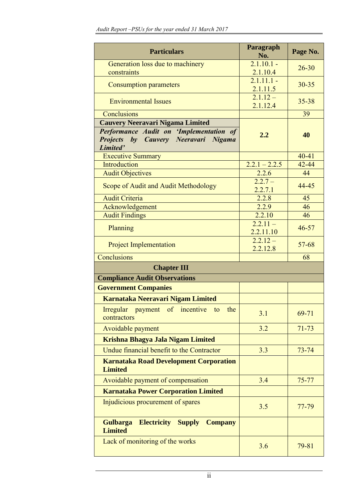| <b>Particulars</b>                                                                          | Paragraph<br>No.         | Page No.  |
|---------------------------------------------------------------------------------------------|--------------------------|-----------|
| Generation loss due to machinery<br>constraints                                             | $2.1.10.1 -$<br>2.1.10.4 | $26 - 30$ |
| <b>Consumption parameters</b>                                                               | $2.1.11.1 -$<br>2.1.11.5 | $30 - 35$ |
| <b>Environmental Issues</b>                                                                 | $2.1.12 -$<br>2.1.12.4   | $35 - 38$ |
| Conclusions                                                                                 |                          | 39        |
| <b>Cauvery Neeravari Nigama Limited</b>                                                     |                          |           |
| Performance Audit on 'Implementation of<br>Projects by Cauvery Neeravari Nigama<br>Limited' | 2.2                      | 40        |
| <b>Executive Summary</b>                                                                    |                          | $40 - 41$ |
| Introduction                                                                                | $2.2.1 - 2.2.5$          | $42 - 44$ |
| <b>Audit Objectives</b>                                                                     | 2.2.6                    | 44        |
| Scope of Audit and Audit Methodology                                                        | $2.2.7 -$<br>2.2.7.1     | 44-45     |
| <b>Audit Criteria</b>                                                                       | 2.2.8                    | 45        |
| Acknowledgement                                                                             | 2.2.9<br>2.2.10          | 46<br>46  |
| <b>Audit Findings</b>                                                                       | $2.2.11 -$               |           |
| Planning                                                                                    | 2.2.11.10                | $46 - 57$ |
| <b>Project Implementation</b>                                                               | $2.2.12 -$<br>2.2.12.8   | $57 - 68$ |
| Conclusions                                                                                 |                          | 68        |
| <b>Chapter III</b>                                                                          |                          |           |
| <b>Compliance Audit Observations</b>                                                        |                          |           |
| <b>Government Companies</b>                                                                 |                          |           |
| Karnataka Neeravari Nigam Limited                                                           |                          |           |
| Irregular payment of incentive<br>the<br>to<br>contractors                                  | 3.1                      | 69-71     |
| Avoidable payment                                                                           | 3.2                      | $71 - 73$ |
| Krishna Bhagya Jala Nigam Limited                                                           |                          |           |
| Undue financial benefit to the Contractor                                                   | 3.3                      | $73 - 74$ |
| <b>Karnataka Road Development Corporation</b><br><b>Limited</b>                             |                          |           |
| Avoidable payment of compensation                                                           | 3.4                      | $75 - 77$ |
| <b>Karnataka Power Corporation Limited</b>                                                  |                          |           |
| Injudicious procurement of spares                                                           | 3.5                      | 77-79     |
| <b>Electricity Supply</b><br><b>Gulbarga</b><br><b>Company</b><br><b>Limited</b>            |                          |           |
| Lack of monitoring of the works                                                             | 3.6                      | $79 - 81$ |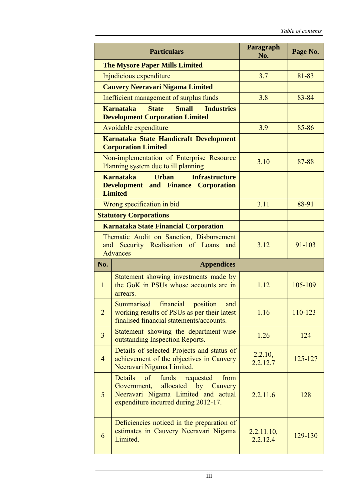|                                                                                                                 | <b>Particulars</b>                                                                                                                                                    | Paragraph<br>No.       | Page No. |
|-----------------------------------------------------------------------------------------------------------------|-----------------------------------------------------------------------------------------------------------------------------------------------------------------------|------------------------|----------|
|                                                                                                                 | <b>The Mysore Paper Mills Limited</b>                                                                                                                                 |                        |          |
|                                                                                                                 | Injudicious expenditure                                                                                                                                               | 3.7                    | 81-83    |
| <b>Cauvery Neeravari Nigama Limited</b>                                                                         |                                                                                                                                                                       |                        |          |
| Inefficient management of surplus funds                                                                         |                                                                                                                                                                       | 3.8                    | 83-84    |
| <b>State</b><br><b>Small</b><br><b>Karnataka</b><br><b>Industries</b><br><b>Development Corporation Limited</b> |                                                                                                                                                                       |                        |          |
| Avoidable expenditure                                                                                           |                                                                                                                                                                       | 3.9                    | 85-86    |
|                                                                                                                 | Karnataka State Handicraft Development<br><b>Corporation Limited</b>                                                                                                  |                        |          |
|                                                                                                                 | Non-implementation of Enterprise Resource<br>Planning system due to ill planning                                                                                      | 3.10                   | 87-88    |
|                                                                                                                 | <b>Karnataka</b><br><b>Urban</b><br><b>Infrastructure</b><br><b>Development and Finance Corporation</b><br><b>Limited</b>                                             |                        |          |
|                                                                                                                 | Wrong specification in bid                                                                                                                                            | 3.11                   | 88-91    |
|                                                                                                                 | <b>Statutory Corporations</b>                                                                                                                                         |                        |          |
|                                                                                                                 | <b>Karnataka State Financial Corporation</b>                                                                                                                          |                        |          |
|                                                                                                                 | Thematic Audit on Sanction, Disbursement<br>and Security Realisation of Loans<br>and<br><b>Advances</b>                                                               | 3.12                   | 91-103   |
| No.                                                                                                             | <b>Appendices</b>                                                                                                                                                     |                        |          |
| $\mathbf{1}$                                                                                                    | Statement showing investments made by<br>the GoK in PSUs whose accounts are in<br>arrears.                                                                            | 1.12                   | 105-109  |
| $\overline{2}$                                                                                                  | Summarised<br>financial<br>position<br>and<br>working results of PSUs as per their latest<br>finalised financial statements/accounts.                                 | 1.16                   | 110-123  |
| $\overline{3}$                                                                                                  | Statement showing the department-wise<br>outstanding Inspection Reports.                                                                                              | 1.26                   | 124      |
| $\overline{4}$                                                                                                  | Details of selected Projects and status of<br>achievement of the objectives in Cauvery<br>Neeravari Nigama Limited.                                                   | 2.2.10,<br>2.2.12.7    | 125-127  |
| $5\overline{)}$                                                                                                 | Details<br>$\circ$ f<br>funds<br>requested<br>from<br>Government, allocated by Cauvery<br>Neeravari Nigama Limited and actual<br>expenditure incurred during 2012-17. | 2.2.11.6               | 128      |
| 6                                                                                                               | Deficiencies noticed in the preparation of<br>estimates in Cauvery Neeravari Nigama<br>Limited.                                                                       | 2.2.11.10,<br>2.2.12.4 | 129-130  |